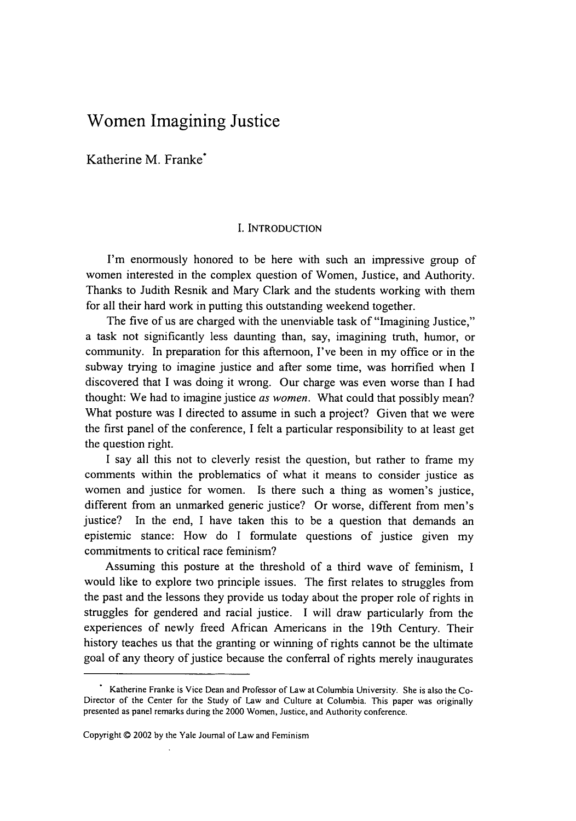## Women Imagining Justice

Katherine M. Franke\*

## I. INTRODUCTION

I'm enormously honored to be here with such an impressive group of women interested in the complex question of Women, Justice, and Authority. Thanks to Judith Resnik and Mary Clark and the students working with them for all their hard work in putting this outstanding weekend together.

The five of us are charged with the unenviable task of "Imagining Justice," a task not significantly less daunting than, say, imagining truth, humor, or community. In preparation for this afternoon, I've been in my office or in the subway trying to imagine justice and after some time, was horrified when I discovered that I was doing it wrong. Our charge was even worse than I had thought: We had to imagine justice *as women.* What could that possibly mean? What posture was I directed to assume in such a project? Given that we were the first panel of the conference, I felt a particular responsibility to at least get the question right.

I say all this not to cleverly resist the question, but rather to frame my comments within the problematics of what it means to consider justice as women and justice for women. Is there such a thing as women's justice, different from an unmarked generic justice? Or worse, different from men's justice? In the end, I have taken this to be a question that demands an epistemic stance: How do I formulate questions of justice given my commitments to critical race feminism?

Assuming this posture at the threshold of a third wave of feminism, I would like to explore two principle issues. The first relates to struggles from the past and the lessons they provide us today about the proper role of rights in struggles for gendered and racial justice. I will draw particularly from the experiences of newly freed African Americans in the 19th Century. Their history teaches us that the granting or winning of rights cannot be the ultimate goal of any theory of justice because the conferral of rights merely inaugurates

Katherine Franke is Vice Dean and Professor of Law at Columbia University. She is also the Co-Director of the Center for the Study of Law and Culture at Columbia. This paper was originally presented as panel remarks during the 2000 Women, Justice, and Authority conference.

Copyright **C** 2002 by the Yale Journal of Law and Feminism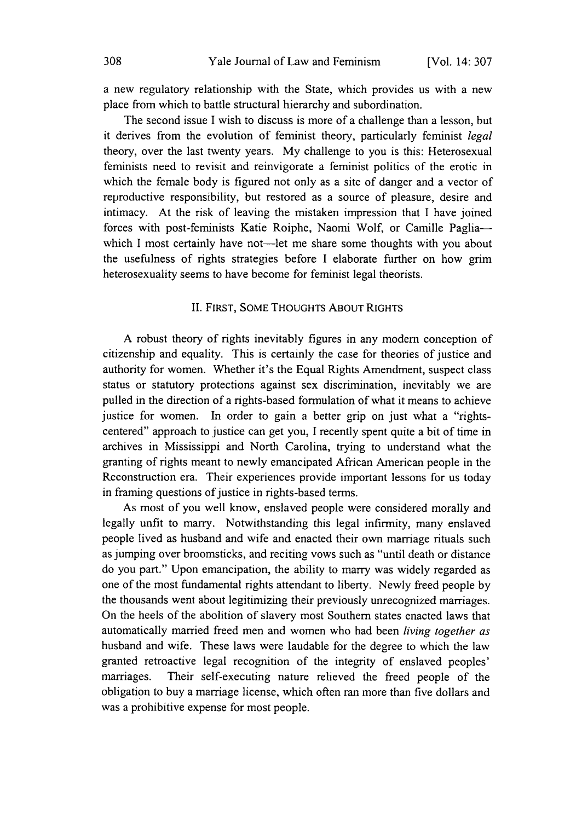a new regulatory relationship with the State, which provides us with a new place from which to battle structural hierarchy and subordination.

The second issue I wish to discuss is more of a challenge than a lesson, but it derives from the evolution of feminist theory, particularly feminist *legal* theory, over the last twenty years. My challenge to you is this: Heterosexual feminists need to revisit and reinvigorate a feminist politics of the erotic in which the female body is figured not only as a site of danger and a vector of reproductive responsibility, but restored as a source of pleasure, desire and intimacy. At the risk of leaving the mistaken impression that I have joined forces with post-feminists Katie Roiphe, Naomi Wolf, or Camille Pagliawhich I most certainly have not-let me share some thoughts with you about the usefulness of rights strategies before I elaborate further on how grim heterosexuality seems to have become for feminist legal theorists.

## II. FIRST, SOME THOUGHTS ABOUT RIGHTS

A robust theory of rights inevitably figures in any modem conception of citizenship and equality. This is certainly the case for theories of justice and authority for women. Whether it's the Equal Rights Amendment, suspect class status or statutory protections against sex discrimination, inevitably we are pulled in the direction of a rights-based formulation of what it means to achieve justice for women. In order to gain a better grip on just what a "rightscentered" approach to justice can get you, I recently spent quite a bit of time in archives in Mississippi and North Carolina, trying to understand what the granting of rights meant to newly emancipated African American people in the Reconstruction era. Their experiences provide important lessons for us today in framing questions of justice in rights-based terms.

As most of you well know, enslaved people were considered morally and legally unfit to marry. Notwithstanding this legal infirmity, many enslaved people lived as husband and wife and enacted their own marriage rituals such as jumping over broomsticks, and reciting vows such as "until death or distance do you part." Upon emancipation, the ability to marry was widely regarded as one of the most fundamental rights attendant to liberty. Newly freed people by the thousands went about legitimizing their previously unrecognized marriages. On the heels of the abolition of slavery most Southern states enacted laws that automatically married freed men and women who had been *living together as* husband and wife. These laws were laudable for the degree to which the law granted retroactive legal recognition of the integrity of enslaved peoples' marriages. Their self-executing nature relieved the freed people of the obligation to buy a marriage license, which often ran more than five dollars and was a prohibitive expense for most people.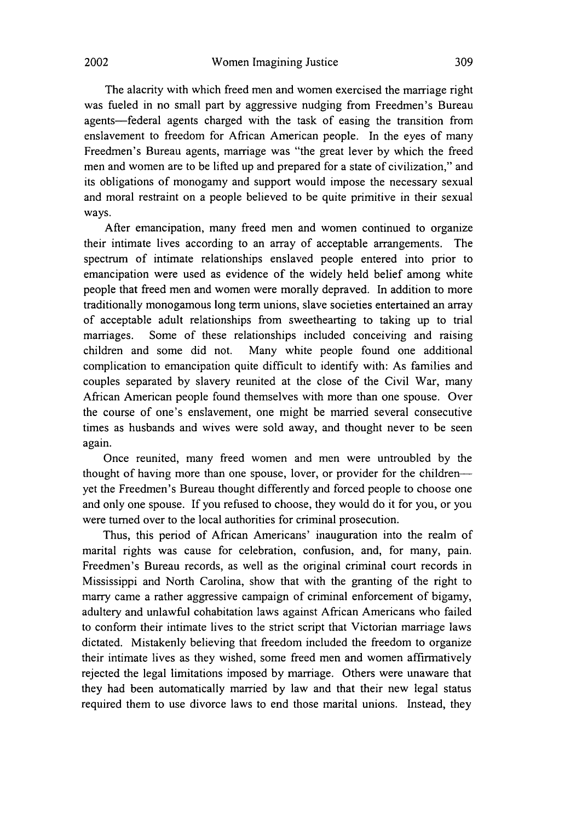The alacrity with which freed men and women exercised the marriage right was fueled in no small part by aggressive nudging from Freedmen's Bureau agents-federal agents charged with the task of easing the transition from enslavement to freedom for African American people. In the eyes of many Freedmen's Bureau agents, marriage was "the great lever by which the freed men and women are to be lifted up and prepared for a state of civilization," and its obligations of monogamy and support would impose the necessary sexual and moral restraint on a people believed to be quite primitive in their sexual ways.

After emancipation, many freed men and women continued to organize their intimate lives according to an array of acceptable arrangements. The spectrum of intimate relationships enslaved people entered into prior to emancipation were used as evidence of the widely held belief among white people that freed men and women were morally depraved. In addition to more traditionally monogamous long term unions, slave societies entertained an array of acceptable adult relationships from sweethearting to taking up to trial marriages. Some of these relationships included conceiving and raising children and some did not. Many white people found one additional complication to emancipation quite difficult to identify with: As families and couples separated by slavery reunited at the close of the Civil War, many African American people found themselves with more than one spouse. Over the course of one's enslavement, one might be married several consecutive times as husbands and wives were sold away, and thought never to be seen again.

Once reunited, many freed women and men were untroubled by the thought of having more than one spouse, lover, or provider for the children-yet the Freedmen's Bureau thought differently and forced people to choose one and only one spouse. If you refused to choose, they would do it for you, or you were turned over to the local authorities for criminal prosecution.

Thus, this period of African Americans' inauguration into the realm of marital rights was cause for celebration, confusion, and, for many, pain. Freedmen's Bureau records, as well as the original criminal court records in Mississippi and North Carolina, show that with the granting of the right to marry came a rather aggressive campaign of criminal enforcement of bigamy, adultery and unlawful cohabitation laws against African Americans who failed to conform their intimate lives to the strict script that Victorian marriage laws dictated. Mistakenly believing that freedom included the freedom to organize their intimate lives as they wished, some freed men and women affirmatively rejected the legal limitations imposed by marriage. Others were unaware that they had been automatically married by law and that their new legal status required them to use divorce laws to end those marital unions. Instead, they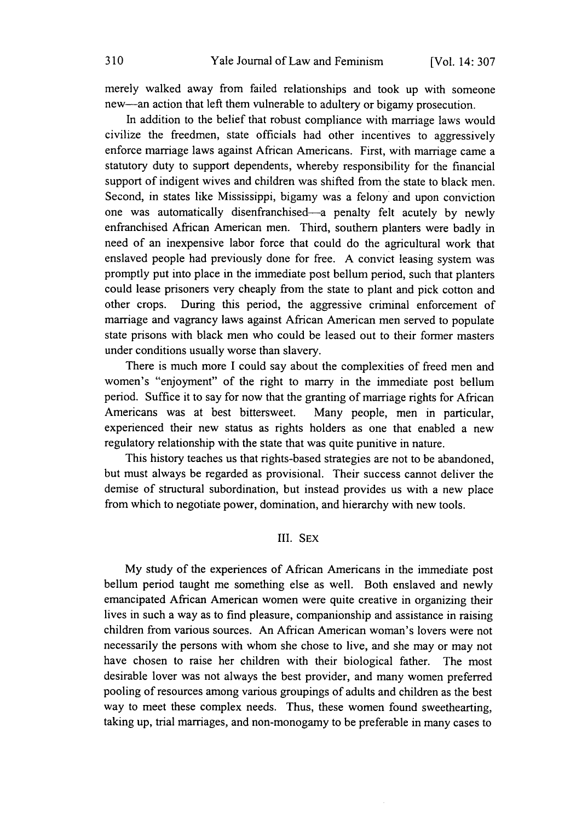merely walked away from failed relationships and took up with someone new-an action that left them vulnerable to adultery or bigamy prosecution.

In addition to the belief that robust compliance with marriage laws would civilize the freedmen, state officials had other incentives to aggressively enforce marriage laws against African Americans. First, with marriage came a statutory duty to support dependents, whereby responsibility for the financial support of indigent wives and children was shifted from the state to black men. Second, in states like Mississippi, bigamy was a felony and upon conviction one was automatically disenfranchised-a penalty felt acutely by newly enfranchised African American men. Third, southern planters were badly in need of an inexpensive labor force that could do the agricultural work that enslaved people had previously done for free. A convict leasing system was promptly put into place in the immediate post bellum period, such that planters could lease prisoners very cheaply from the state to plant and pick cotton and other crops. During this period, the aggressive criminal enforcement of marriage and vagrancy laws against African American men served to populate state prisons with black men who could be leased out to their former masters under conditions usually worse than slavery.

There is much more I could say about the complexities of freed men and women's "enjoyment" of the right to marry in the immediate post bellum period. Suffice it to say for now that the granting of marriage rights for African Americans was at best bittersweet. Many people, men in particular, experienced their new status as rights holders as one that enabled a new regulatory relationship with the state that was quite punitive in nature.

This history teaches us that rights-based strategies are not to be abandoned, but must always be regarded as provisional. Their success cannot deliver the demise of structural subordination, but instead provides us with a new place from which to negotiate power, domination, and hierarchy with new tools.

## III. SEX

My study of the experiences of African Americans in the immediate post bellum period taught me something else as well. Both enslaved and newly emancipated African American women were quite creative in organizing their lives in such a way as to find pleasure, companionship and assistance in raising children from various sources. An African American woman's lovers were not necessarily the persons with whom she chose to live, and she may or may not have chosen to raise her children with their biological father. The most desirable lover was not always the best provider, and many women preferred pooling of resources among various groupings of adults and children as the best way to meet these complex needs. Thus, these women found sweethearting, taking up, trial marriages, and non-monogamy to be preferable in many cases to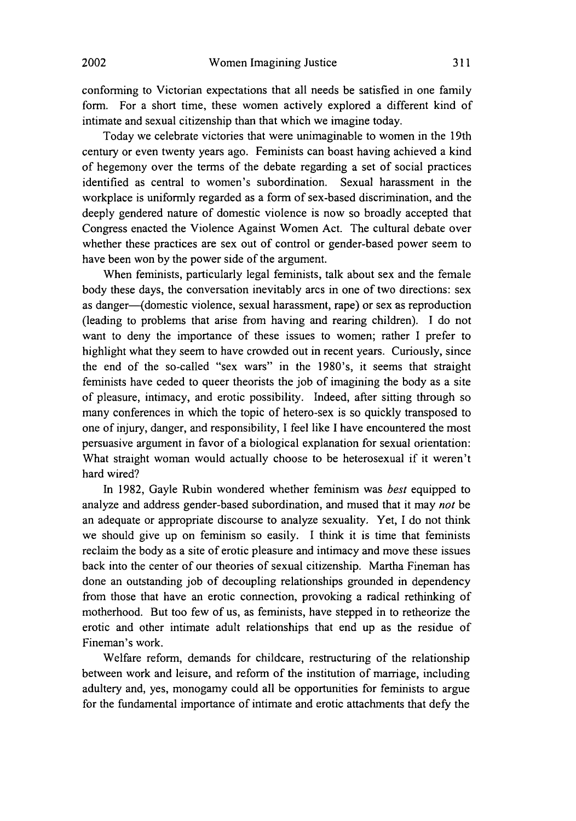conforming to Victorian expectations that all needs be satisfied in one family form. For a short time, these women actively explored a different kind of intimate and sexual citizenship than that which we imagine today.

Today we celebrate victories that were unimaginable to women in the 19th century or even twenty years ago. Feminists can boast having achieved a kind of hegemony over the terms of the debate regarding a set of social practices identified as central to women's subordination. Sexual harassment in the workplace is uniformly regarded as a form of sex-based discrimination, and the deeply gendered nature of domestic violence is now so broadly accepted that Congress enacted the Violence Against Women Act. The cultural debate over whether these practices are sex out of control or gender-based power seem to have been won by the power side of the argument.

When feminists, particularly legal feminists, talk about sex and the female body these days, the conversation inevitably arcs in one of two directions: sex as danger-(domestic violence, sexual harassment, rape) or sex as reproduction (leading to problems that arise from having and rearing children). I do not want to deny the importance of these issues to women; rather I prefer to highlight what they seem to have crowded out in recent years. Curiously, since the end of the so-called "sex wars" in the 1980's, it seems that straight feminists have ceded to queer theorists the job of imagining the body as a site of pleasure, intimacy, and erotic possibility. Indeed, after sitting through so many conferences in which the topic of hetero-sex is so quickly transposed to one of injury, danger, and responsibility, I feel like I have encountered the most persuasive argument in favor of a biological explanation for sexual orientation: What straight woman would actually choose to be heterosexual if it weren't hard wired?

In 1982, Gayle Rubin wondered whether feminism was *best* equipped to analyze and address gender-based subordination, and mused that it may *not* be an adequate or appropriate discourse to analyze sexuality. Yet, I do not think we should give up on feminism so easily. I think it is time that feminists reclaim the body as a site of erotic pleasure and intimacy and move these issues back into the center of our theories of sexual citizenship. Martha Fineman has done an outstanding job of decoupling relationships grounded in dependency from those that have an erotic connection, provoking a radical rethinking of motherhood. But too few of us, as feminists, have stepped in to retheorize the erotic and other intimate adult relationships that end up as the residue of Fineman's work.

Welfare reform, demands for childcare, restructuring of the relationship between work and leisure, and reform of the institution of marriage, including adultery and, yes, monogamy could all be opportunities for feminists to argue for the fundamental importance of intimate and erotic attachments that defy the